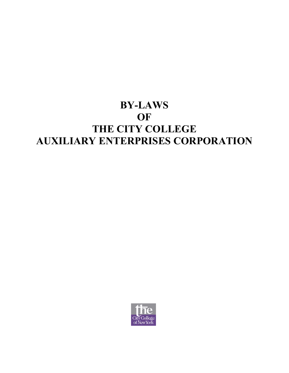# **BY-LAWS OF THE CITY COLLEGE AUXILIARY ENTERPRISES CORPORATION**

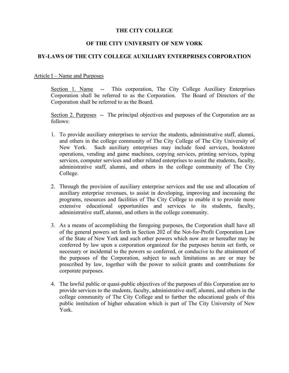# **THE CITY COLLEGE**

# **OF THE CITY UNIVERSITY OF NEW YORK**

# **BY-LAWS OF THE CITY COLLEGE AUXILIARY ENTERPRISES CORPORATION**

## Article I – Name and Purposes

Section 1. Name -- This corporation, The City College Auxiliary Enterprises Corporation shall be referred to as the Corporation. The Board of Directors of the Corporation shall be referred to as the Board.

Section 2. Purposes -- The principal objectives and purposes of the Corporation are as follows:

- 1. To provide auxiliary enterprises to service the students, administrative staff, alumni, and others in the college community of The City College of The City University of New York. Such auxiliary enterprises may include food services, bookstore operations, vending and game machines, copying services, printing services, typing services, computer services and other related enterprises to assist the students, faculty, administrative staff, alumni, and others in the college community of The City College.
- 2. Through the provision of auxiliary enterprise services and the use and allocation of auxiliary enterprise revenues, to assist in developing, improving and increasing the programs, resources and facilities of The City College to enable it to provide more extensive educational opportunities and services to its students, faculty, administrative staff, alumni, and others in the college community.
- 3. As a means of accomplishing the foregoing purposes, the Corporation shall have all of the general powers set forth in Section 202 of the Not-for-Profit Corporation Law of the State of New York and such other powers which now are or hereafter may be conferred by law upon a corporation organized for the purposes herein set forth, or necessary or incidental to the powers so conferred, or conducive to the attainment of the purposes of the Corporation, subject to such limitations as are or may be prescribed by law, together with the power to solicit grants and contributions for corporate purposes.
- 4. The lawful public or quasi-public objectives of the purposes of this Corporation are to provide services to the students, faculty, administrative staff, alumni, and others in the college community of The City College and to further the educational goals of this public institution of higher education which is part of The City University of New York.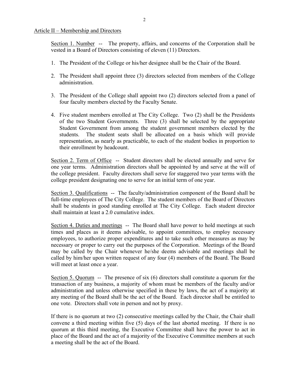#### Article II – Membership and Directors

Section 1. Number -- The property, affairs, and concerns of the Corporation shall be vested in a Board of Directors consisting of eleven (11) Directors.

- 1. The President of the College or his/her designee shall be the Chair of the Board.
- 2. The President shall appoint three (3) directors selected from members of the College administration.
- 3. The President of the College shall appoint two (2) directors selected from a panel of four faculty members elected by the Faculty Senate.
- 4. Five student members enrolled at The City College. Two (2) shall be the Presidents of the two Student Governments. Three (3) shall be selected by the appropriate Student Government from among the student government members elected by the students. The student seats shall be allocated on a basis which will provide representation, as nearly as practicable, to each of the student bodies in proportion to their enrollment by headcount.

Section 2. Term of Office -- Student directors shall be elected annually and serve for one year terms. Administration directors shall be appointed by and serve at the will of the college president. Faculty directors shall serve for staggered two year terms with the college president designating one to serve for an initial term of one year.

Section 3. Qualifications -- The faculty/administration component of the Board shall be full-time employees of The City College. The student members of the Board of Directors shall be students in good standing enrolled at The City College. Each student director shall maintain at least a 2.0 cumulative index.

Section 4. Duties and meetings -- The Board shall have power to hold meetings at such times and places as it deems advisable, to appoint committees, to employ necessary employees, to authorize proper expenditures and to take such other measures as may be necessary or proper to carry out the purposes of the Corporation. Meetings of the Board may be called by the Chair whenever he/she deems advisable and meetings shall be called by him/her upon written request of any four (4) members of the Board. The Board will meet at least once a year.

Section 5. Quorum -- The presence of six (6) directors shall constitute a quorum for the transaction of any business, a majority of whom must be members of the faculty and/or administration and unless otherwise specified in these by laws, the act of a majority at any meeting of the Board shall be the act of the Board. Each director shall be entitled to one vote. Directors shall vote in person and not by proxy.

If there is no quorum at two (2) consecutive meetings called by the Chair, the Chair shall convene a third meeting within five (5) days of the last aborted meeting. If there is no quorum at this third meeting, the Executive Committee shall have the power to act in place of the Board and the act of a majority of the Executive Committee members at such a meeting shall be the act of the Board.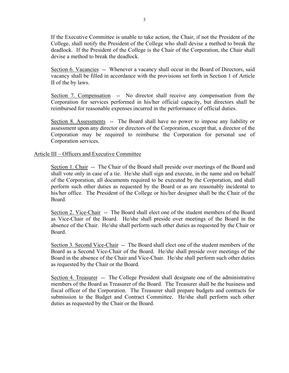If the Executive Committee is unable to take action, the Chair, if not the President of the College, shall notify the President of the College who shall devise a method to break the deadlock. If the President of the College is the Chair of the Corporation, the Chair shall devise a method to break the deadlock.

Section 6. Vacancies -- Whenever a vacancy shall occur in the Board of Directors, said vacancy shall be filled in accordance with the provisions set forth in Section 1 of Article II of the by laws.

Section 7. Compensation -- No director shall receive any compensation from the Corporation for services performed in his/her official capacity, but directors shall be reimbursed for reasonable expenses incurred in the performance of official duties.

Section 8. Assessments -- The Board shall have no power to impose any liability or assessment upon any director or directors of the Corporation, except that, a director of the Corporation may be required to reimburse the Corporation for personal use of Corporation services.

# Article III – Officers and Executive Committee

Section 1. Chair -- The Chair of the Board shall preside over meetings of the Board and shall vote only in case of a tie. He/she shall sign and execute, in the name and on behalf of the Corporation, all documents required to be executed by the Corporation, and shall perform such other duties as requested by the Board or as are reasonably incidental to his/her office. The President of the College or his/her designee shall be the Chair of the Board.

Section 2. Vice-Chair -- The Board shall elect one of the student members of the Board as Vice-Chair of the Board. He/she shall preside over meetings of the Board in the absence of the Chair. He/she shall perform such other duties as requested by the Chair or Board.

Section 3. Second Vice-Chair -- The Board shall elect one of the student members of the Board as a Second Vice-Chair of the Board. He/she shall preside over meetings of the Board in the absence of the Chair and Vice-Chair. He/she shall perform such other duties as requested by the Chair or the Board.

Section 4. Treasurer -- The College President shall designate one of the administrative members of the Board as Treasurer of the Board. The Treasurer shall be the business and fiscal officer of the Corporation. The Treasurer shall prepare budgets and contracts for submission to the Budget and Contract Committee. He/she shall perform such other duties as requested by the Chair or the Board.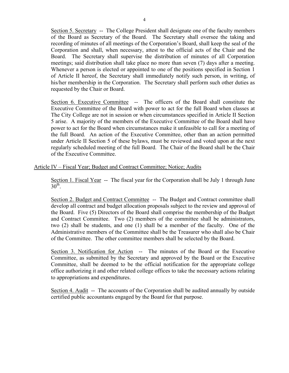Section 5. Secretary -- The College President shall designate one of the faculty members of the Board as Secretary of the Board. The Secretary shall oversee the taking and recording of minutes of all meetings of the Corporation's Board, shall keep the seal of the Corporation and shall, when necessary, attest to the official acts of the Chair and the Board. The Secretary shall supervise the distribution of minutes of all Corporation meetings; said distribution shall take place no more than seven (7) days after a meeting. Whenever a person is elected or appointed to one of the positions specified in Section 1 of Article II hereof, the Secretary shall immediately notify such person, in writing, of his/her membership in the Corporation. The Secretary shall perform such other duties as requested by the Chair or Board.

Section 6. Executive Committee -- The officers of the Board shall constitute the Executive Committee of the Board with power to act for the full Board when classes at The City College are not in session or when circumstances specified in Article II Section 5 arise. A majority of the members of the Executive Committee of the Board shall have power to act for the Board when circumstances make it unfeasible to call for a meeting of the full Board. An action of the Executive Committee, other than an action permitted under Article II Section 5 of these bylaws, must be reviewed and voted upon at the next regularly scheduled meeting of the full Board. The Chair of the Board shall be the Chair of the Executive Committee.

Article IV – Fiscal Year; Budget and Contract Committee; Notice; Audits

Section 1. Fiscal Year -- The fiscal year for the Corporation shall be July 1 through June  $30<sup>th</sup>$ 

Section 2. Budget and Contract Committee -- The Budget and Contract committee shall develop all contract and budget allocation proposals subject to the review and approval of the Board. Five (5) Directors of the Board shall comprise the membership of the Budget and Contract Committee. Two (2) members of the committee shall be administrators, two (2) shall be students, and one (1) shall be a member of the faculty. One of the Administrative members of the Committee shall be the Treasurer who shall also be Chair of the Committee. The other committee members shall be selected by the Board.

Section 3. Notification for Action -- The minutes of the Board or the Executive Committee, as submitted by the Secretary and approved by the Board or the Executive Committee, shall be deemed to be the official notification for the appropriate college office authorizing it and other related college offices to take the necessary actions relating to appropriations and expenditures.

Section 4. Audit -- The accounts of the Corporation shall be audited annually by outside certified public accountants engaged by the Board for that purpose.